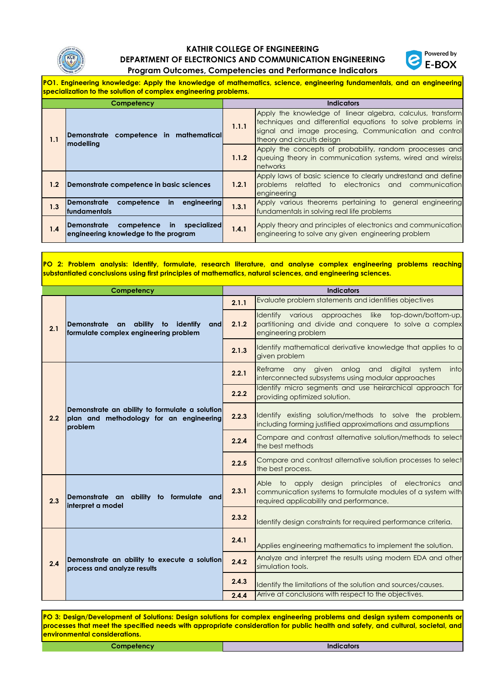

## **KATHIR COLLEGE OF ENGINEERING DEPARTMENT OF ELECTRONICS AND COMMUNICATION ENGINEERING**



**Program Outcomes, Competencies and Performance Indicators**

**PO1. Engineering knowledge: Apply the knowledge of mathematics, science, engineering fundamentals, and an engineering specialization to the solution of complex engineering problems.**

| Competency |                                                                                                         |       | <b>Indicators</b>                                                                                                                                                                                               |
|------------|---------------------------------------------------------------------------------------------------------|-------|-----------------------------------------------------------------------------------------------------------------------------------------------------------------------------------------------------------------|
| 1.1        | Demonstrate competence in mathematical<br>modelling                                                     | 1.1.1 | Apply the knowledge of linear algebra, calculus, transform<br>techniques and differential equations to solve problems in<br>signal and image procesing, Communication and control<br>theory and circuits deisan |
|            |                                                                                                         | 1.1.2 | Apply the concepts of probability, random proocesses and<br>queuing theory in communication systems, wired and wirelss<br>networks                                                                              |
| $1.2\,$    | Demonstrate competence in basic sciences                                                                | 1.2.1 | Apply laws of basic science to clearly undrestand and define<br><b>I</b> problems relatted to electronics and communication<br>engineering                                                                      |
| 1.3        | <b>Demonstrate</b><br>competence in engineering<br><b>fundamentals</b>                                  | 1.3.1 | Apply various theorems pertaining to general engineering<br>fundamentals in solving real life problems                                                                                                          |
| 1.4        | <b>Demonstrate</b><br>compe <del>l</del> ence in<br>specialized<br>engineering knowledge to the program | 1.4.1 | Apply theory and principles of electronics and communication<br>engineering to solve any given engineering problem                                                                                              |

**PO 2: Problem analysis: Identify, formulate, research literature, and analyse complex engineering problems reaching substantiated conclusions using first principles of mathematics, natural sciences, and engineering sciences.**

|     | Competency                                                                                           |       | <b>Indicators</b>                                                                                                                                            |
|-----|------------------------------------------------------------------------------------------------------|-------|--------------------------------------------------------------------------------------------------------------------------------------------------------------|
|     |                                                                                                      | 2.1.1 | Evaluate problem statements and identifies objectives                                                                                                        |
| 2.1 | Demonstrate an ability to identify<br>and<br>formulate complex engineering problem                   | 2.1.2 | Identify various approaches like top-down/bottom-up,<br>partitioning and divide and conquere to solve a complex<br>engineering problem                       |
|     |                                                                                                      | 2.1.3 | Identify mathematical derivative knowledge that applies to a<br>given problem                                                                                |
|     |                                                                                                      | 2.2.1 | Reframe any given anlog<br>and<br>digital<br>system<br>into<br>interconnected subsystems using modular approaches                                            |
|     |                                                                                                      | 2.2.2 | Identify micro segments and use heirarchical approach for<br>providing optimized solution.                                                                   |
| 2.2 | Demonstrate an ability to formulate a solution<br>plan and methodology for an engineering<br>problem | 2.2.3 | Identify existing solution/methods to solve the problem,<br>including forming justified approximations and assumptions                                       |
|     |                                                                                                      | 2.2.4 | Compare and contrast alternative solution/methods to select<br>the best methods                                                                              |
|     |                                                                                                      | 2.2.5 | Compare and contrast alternative solution processes to select<br>the best process.                                                                           |
| 2.3 | Demonstrate an ability to formulate and<br>interpret a model                                         | 2.3.1 | Able to apply design principles of electronics and<br>communication systems to formulate modules of a system with<br>required applicability and performance. |
|     |                                                                                                      | 2.3.2 | Identify design constraints for required performance criteria.                                                                                               |
|     | Demonstrate an ability to execute a solution<br>process and analyze results                          | 2.4.1 | Applies engineering mathematics to implement the solution.                                                                                                   |
| 2.4 |                                                                                                      | 2.4.2 | Analyze and interpret the results using modern EDA and other<br>simulation tools.                                                                            |
|     |                                                                                                      | 2.4.3 | Identify the limitations of the solution and sources/causes.                                                                                                 |
|     |                                                                                                      | 2.4.4 | Arrive at conclusions with respect to the objectives.                                                                                                        |

PO 3: Design/Development of Solutions: Design solutions for complex engineering problems and design system components or processes that meet the specified needs with appropriate consideration for public health and safety, and cultural, societal, and **environmental considerations.**

| <b>Compatency</b> | Indicators |
|-------------------|------------|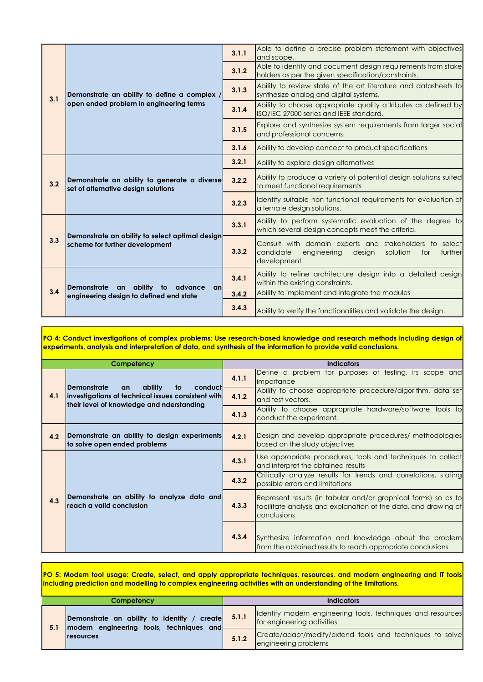|     |                                                                                                            | 3.1.1                                                                                                                                     | Able to define a precise problem statement with objectives<br>and scope.                                            |
|-----|------------------------------------------------------------------------------------------------------------|-------------------------------------------------------------------------------------------------------------------------------------------|---------------------------------------------------------------------------------------------------------------------|
|     |                                                                                                            | 3.1.2                                                                                                                                     | Able to identify and document design requirements from stake<br>holders as per the given specification/constraints. |
| 3.1 | Demonstrate an ability to define a complex /                                                               | 3.1.3                                                                                                                                     | Ability to review state of the art literature and datasheets to<br>synthesize analog and digital systems.           |
|     | open ended problem in engineering terms                                                                    | 3.1.4                                                                                                                                     | Ability to choose appropriate quality attributes as defined by<br>ISO/IEC 27000 series and IEEE standard.           |
|     |                                                                                                            | 3.1.5                                                                                                                                     | Explore and synthesize system requirements from larger social<br>and professional concerns.                         |
|     |                                                                                                            | 3.1.6                                                                                                                                     | Ability to develop concept to product specifications                                                                |
|     | Demonstrate an ability to generate a diverse<br>3.2<br>set of alternative design solutions                 | 3.2.1                                                                                                                                     | Ability to explore design alternatives                                                                              |
|     |                                                                                                            | 3.2.2                                                                                                                                     | Ability to produce a variety of potential design solutions suited<br>to meet functional requirements                |
|     |                                                                                                            | 3.2.3                                                                                                                                     | Identify suitable non functional requirements for evaluation of<br>alternate design solutions.                      |
|     | 3.3.1<br>Demonstrate an ability to select optimal design<br>3.3<br>scheme for further development<br>3.3.2 |                                                                                                                                           | Ability to perform systematic evaluation of the degree to<br>which several design concepts meet the criteria.       |
|     |                                                                                                            | Consult with domain experts and stakeholders to select<br>candidate<br>engineering<br>design<br>solution<br>for<br>further<br>development |                                                                                                                     |
| 3.4 | <b>Demonstrate</b><br>an ability to advance<br>an                                                          | 3.4.1                                                                                                                                     | Ability to refine architecture design into a detailed design<br>within the existing constraints.                    |
|     | engineering design to defined end state                                                                    | 3.4.2                                                                                                                                     | Ability to implement and integrate the modules                                                                      |
|     |                                                                                                            | 3.4.3                                                                                                                                     | Ability to verify the functionalities and validate the design.                                                      |

PO 4: Conduct investigations of complex problems: Use research-based knowledge and research methods including design of **experiments, analysis and interpretation of data, and synthesis of the information to provide valid conclusions.**

| Competency |                                                                                                                                                         |       | <b>Indicators</b>                                                                                                                                |
|------------|---------------------------------------------------------------------------------------------------------------------------------------------------------|-------|--------------------------------------------------------------------------------------------------------------------------------------------------|
|            |                                                                                                                                                         | 4.1.1 | Define a problem for purposes of testing, its scope and<br>importance                                                                            |
| 4.1        | <b>Demonstrate</b><br>ability<br>conduct<br>to<br>an<br>investigations of technical issues consistent with<br>their level of knowledge and nderstanding | 4.1.2 | Ability to choose appropriate procedure/algorithm, data set<br>and test vectors.                                                                 |
|            |                                                                                                                                                         | 4.1.3 | Ability to choose appropriate hardware/software tools to<br>conduct the experiment.                                                              |
| 4.2        | Demonstrate an ability to design experiments<br>to solve open ended problems                                                                            | 4.2.1 | Design and develop appropriate procedures/ methodologies<br>based on the study objectives                                                        |
|            |                                                                                                                                                         | 4.3.1 | Use appropriate procedures, tools and techniques to collect<br>and interpret the obtained results                                                |
|            |                                                                                                                                                         | 4.3.2 | Critically analyze results for trends and correlations, stating<br>possible errors and limitations                                               |
| 4.3        | Demonstrate an ability to analyze data and<br>reach a valid conclusion                                                                                  | 4.3.3 | Represent results (in tabular and/or graphical forms) so as to<br>facilitate analysis and explanation of the data, and drawing of<br>conclusions |
|            |                                                                                                                                                         | 4.3.4 | Synthesize information and knowledge about the problem<br>from the obtained results to reach appropriate conclusions                             |

PO 5: Modern tool usage: Create, select, and apply appropriate techniques, resources, and modern engineering and IT tools **including prediction and modelling to complex engineering activities with an understanding of the limitations.**

| Competency |                                                                                               | <b>Indicators</b> |                                                                                           |
|------------|-----------------------------------------------------------------------------------------------|-------------------|-------------------------------------------------------------------------------------------|
| 5.1        | Demonstrate an ability to identify / create 5.1.1<br>modern engineering tools, techniques and |                   | Identify modern engineering tools, techniques and resources<br>for engineering activities |
|            | <b>Iresources</b>                                                                             | 5.1.2             | Create/adapt/modify/extend tools and techniques to solve<br>engineering problems          |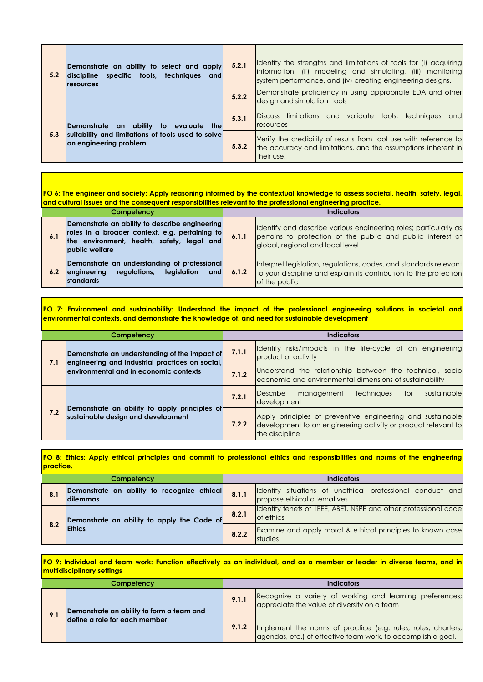| 5.2 | Demonstrate an ability to select and apply<br>discipline specific tools, techniques and<br><b>Iresources</b> | 5.2.1 | Identify the strengths and limitations of tools for (i) acquiring<br>information, (ii) modeling and simulating, (iii) monitoring<br>system performance, and (iv) creating engineering designs. |
|-----|--------------------------------------------------------------------------------------------------------------|-------|------------------------------------------------------------------------------------------------------------------------------------------------------------------------------------------------|
|     |                                                                                                              | 5.2.2 | Demonstrate proficiency in using appropriate EDA and other<br>design and simulation tools                                                                                                      |
| 5.3 | Demonstrate an ability<br>evaluate thel<br>to:                                                               | 5.3.1 | Discuss limitations and validate tools, techniques<br>and<br>resources                                                                                                                         |
|     | suitability and limitations of tools used to solve<br>an engineering problem                                 | 5.3.2 | Verify the credibility of results from tool use with reference to<br>the accuracy and limitations, and the assumptions inherent in<br>their use.                                               |

PO 6: The engineer and society: Apply reasoning informed by the contextual knowledge to assess societal, health, safety, legal **and cultural issues and the consequent responsibilities relevant to the professional engineering practice.**

| Competency |                                                                                                                                                                         |       | Indicators                                                                                                                                                          |
|------------|-------------------------------------------------------------------------------------------------------------------------------------------------------------------------|-------|---------------------------------------------------------------------------------------------------------------------------------------------------------------------|
| 6.1        | Demonstrate an ability to describe engineering<br>roles in a broader context, e.g. pertaining to<br>the environment, health, safety, legal and<br><b>public welfare</b> | 6.1.1 | Identify and describe various engineering roles; particularly as<br>pertains to protection of the public and public interest at<br>global, regional and local level |
| 6.2        | Demonstrate an understanding of professional<br><b>engineering</b><br>leaislation<br>reaulations.<br><b>and</b><br><b>Istandards</b>                                    | 6.1.2 | Interpret legislation, regulations, codes, and standards relevant<br>to your discipline and explain its contribution to the protection<br>of the public             |

PO 7: Environment and sustainability: Understand the impact of the professional engineering solutions in societal and **environmental contexts, and demonstrate the knowledge of, and need for sustainable development**

| Competency |                                                                                                  |       | <b>Indicators</b>                                                                                                                             |
|------------|--------------------------------------------------------------------------------------------------|-------|-----------------------------------------------------------------------------------------------------------------------------------------------|
| 7.1        | Demonstrate an understanding of the impact of<br>engineering and industrial practices on social, | 7.1.1 | Identify risks/impacts in the life-cycle of an engineering<br>product or activity                                                             |
|            | environmental and in economic contexts                                                           | 7.1.2 | Understand the relationship between the technical, socio<br>economic and environmental dimensions of sustainability                           |
| 7.2        |                                                                                                  | 7.2.1 | sustainable<br><b>Describe</b><br><b>techniques</b><br>management<br>for<br>development                                                       |
|            | Demonstrate an ability to apply principles of<br>sustainable design and development              | 7.2.2 | Apply principles of preventive engineering and sustainable<br>development to an engineering activity or product relevant to<br>the discipline |

PO 8: Ethics: Apply ethical principles and commit to professional ethics and responsibilities and norms of the engineering **practice.**

| Competency |                                                          |       | <b>Indicators</b>                                                                         |  |
|------------|----------------------------------------------------------|-------|-------------------------------------------------------------------------------------------|--|
| 8.1        | Demonstrate an ability to recognize ethical<br>Idilemmas | 8.1.1 | Identify situations of unethical professional conduct and<br>propose ethical alternatives |  |
| 8.2        | Demonstrate an ability to apply the Code of              | 8.2.1 | Identify tenets of IEEE, ABET, NSPE and other professional code<br>of ethics              |  |
|            | <b>IEthics</b>                                           | 8.2.2 | Examine and apply moral & ethical principles to known case<br><b>studies</b>              |  |

PO 9: Individual and team work: Function effectively as an individual, and as a member or leader in diverse teams, and in **multidisciplinary settings**

| Competency |                                                                            |       | Indicators                                                                                                                    |  |
|------------|----------------------------------------------------------------------------|-------|-------------------------------------------------------------------------------------------------------------------------------|--|
|            |                                                                            | 9.1.1 | Recognize a variety of working and learning preferences;<br>appreciate the value of diversity on a team                       |  |
| 9.1        | Demonstrate an ability to form a team and<br>define a role for each member | 9.1.2 | Implement the norms of practice (e.g. rules, roles, charters,<br>agendas, etc.) of effective team work, to accomplish a goal. |  |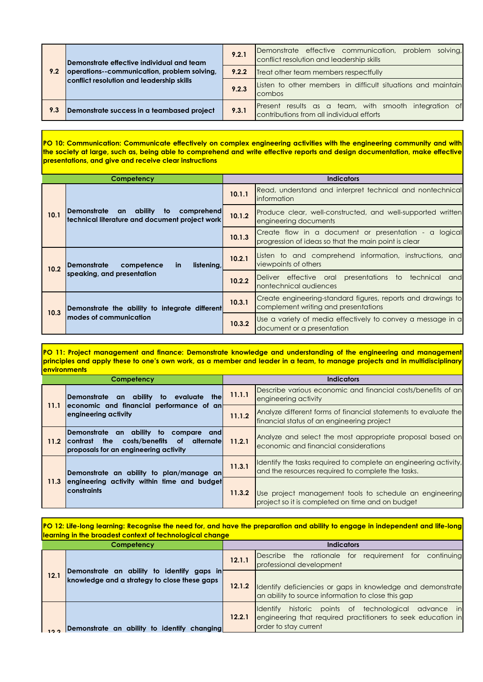|     | lDemonstrate effective individual and team<br>operations--communication, problem solving, | 9.2.1 | Demonstrate effective communication,<br>problem solving,<br>conflict resolution and leadership skills |
|-----|-------------------------------------------------------------------------------------------|-------|-------------------------------------------------------------------------------------------------------|
| 9.2 |                                                                                           | 9.2.2 | Treat other team members respectfully                                                                 |
|     | conflict resolution and leadership skills                                                 | 9.2.3 | Listen to other members in difficult situations and maintain<br>combos                                |
| 9.3 | Demonstrate success in a teambased project                                                | 9.3.1 | Present results as a team, with smooth integration of<br>contributions from all individual efforts    |

**PO 10: Communication: Communicate effectively on complex engineering activities with the engineering community and with** the society at large, such as, being able to comprehend and write effective reports and design documentation, make effective **presentations, and give and receive clear instructions**

| Competency |                                                                                                            | <b>Indicators</b> |                                                                                                               |
|------------|------------------------------------------------------------------------------------------------------------|-------------------|---------------------------------------------------------------------------------------------------------------|
| 10.1       | <b>IDemonstrate</b><br>comprehend<br>ability<br>to<br>an<br>technical literature and document project work | 10.1.1            | Read, understand and interpret technical and nontechnical<br>information                                      |
|            |                                                                                                            | 10.1.2            | Produce clear, well-constructed, and well-supported written<br>engineering documents                          |
|            |                                                                                                            | 10.1.3            | Create flow in a document or presentation - a logical<br>progression of ideas so that the main point is clear |
| 10.2       | <b>Demonstrate</b><br>competence<br>listening,<br><b>in</b><br>speaking, and presentation                  | 10.2.1            | Listen to and comprehend information, instructions, and<br>viewpoints of others                               |
|            |                                                                                                            | 10.2.2            | Deliver effective oral presentations<br>to<br>technical<br>and<br>nontechnical audiences                      |
| 10.3       | Demonstrate the ability to integrate different<br>modes of communication                                   | 10.3.1            | Create engineering-standard figures, reports and drawings to<br>complement writing and presentations          |
|            |                                                                                                            | 10.3.2            | Use a variety of media effectively to convey a message in a<br>document or a presentation                     |

**PO 11: Project management and finance: Demonstrate knowledge and understanding of the engineering and management** principles and apply these to one's own work, as a member and leader in a team, to manage projects and in multidisciplinary **environments**

| Competency |                                                                                                                                                   | Indicators |                                                                                                                       |
|------------|---------------------------------------------------------------------------------------------------------------------------------------------------|------------|-----------------------------------------------------------------------------------------------------------------------|
| 11.1       | Demonstrate an ability<br>to evaluate the<br>economic and financial performance of an<br>engineering activity                                     | 11.1.1     | Describe various economic and financial costs/benefits of an<br>engineering activity                                  |
|            |                                                                                                                                                   | 11.1.2     | Analyze different forms of financial statements to evaluate the<br>financial status of an engineering project         |
| 11.2       | Demonstrate an ability to compare and<br>the<br>costs/benefits<br>alternatel<br>of .<br><b>Icontrast</b><br>proposals for an engineering activity | 11.2.1     | Analyze and select the most appropriate proposal based on<br>economic and financial considerations                    |
| 11.3       | Demonstrate an ability to plan/manage an<br>engineering activity within time and budget<br><b>constraints</b>                                     | 11.3.1     | Identify the tasks required to complete an engineering activity,<br>and the resources required to complete the tasks. |
|            |                                                                                                                                                   | 11.3.2     | Use project management tools to schedule an engineering<br>project so it is completed on time and on budget           |

PO 12: Life-long learning: Recognise the need for, and have the preparation and ability to engage in independent and life-long **learning in the broadest context of technological change**

| Competency |                                                                                            | <b>Indicators</b> |                                                                                                                                                   |  |
|------------|--------------------------------------------------------------------------------------------|-------------------|---------------------------------------------------------------------------------------------------------------------------------------------------|--|
| 12.1       | Demonstrate an ability to identify gaps in<br>knowledge and a strategy to close these gaps | 12.1.1            | Describe the rationale for requirement for continuing<br>professional development                                                                 |  |
|            |                                                                                            | 12.1.2            | Identify deficiencies or gaps in knowledge and demonstrate<br>an ability to source information to close this gap                                  |  |
| 122        | Demonstrate an ability to identify changing                                                | 12.2.1            | historic points of technological advance in<br>Ildentify<br>engineering that required practitioners to seek education in<br>order to stay current |  |